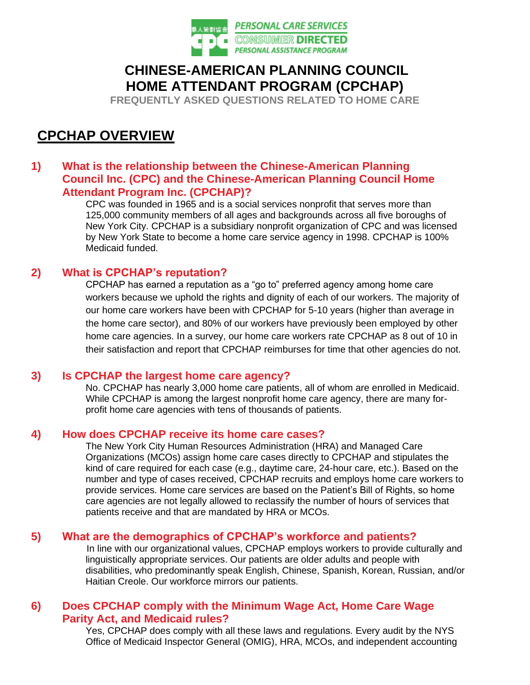

# **CHINESE-AMERICAN PLANNING COUNCIL HOME ATTENDANT PROGRAM (CPCHAP)**

**FREQUENTLY ASKED QUESTIONS RELATED TO HOME CARE**

# **CPCHAP OVERVIEW**

## **1) What is the relationship between the Chinese-American Planning Council Inc. (CPC) and the Chinese-American Planning Council Home Attendant Program Inc. (CPCHAP)?**

CPC was founded in 1965 and is a social services nonprofit that serves more than 125,000 community members of all ages and backgrounds across all five boroughs of New York City. CPCHAP is a subsidiary nonprofit organization of CPC and was licensed by New York State to become a home care service agency in 1998. CPCHAP is 100% Medicaid funded.

### **2) What is CPCHAP's reputation?**

CPCHAP has earned a reputation as a "go to" preferred agency among home care workers because we uphold the rights and dignity of each of our workers. The majority of our home care workers have been with CPCHAP for 5-10 years (higher than average in the home care sector), and 80% of our workers have previously been employed by other home care agencies. In a survey, our home care workers rate CPCHAP as 8 out of 10 in their satisfaction and report that CPCHAP reimburses for time that other agencies do not.

#### **3) Is CPCHAP the largest home care agency?**

No. CPCHAP has nearly 3,000 home care patients, all of whom are enrolled in Medicaid. While CPCHAP is among the largest nonprofit home care agency, there are many forprofit home care agencies with tens of thousands of patients.

#### **4) How does CPCHAP receive its home care cases?**

The New York City Human Resources Administration (HRA) and Managed Care Organizations (MCOs) assign home care cases directly to CPCHAP and stipulates the kind of care required for each case (e.g., daytime care, 24-hour care, etc.). Based on the number and type of cases received, CPCHAP recruits and employs home care workers to provide services. Home care services are based on the Patient's Bill of Rights, so home care agencies are not legally allowed to reclassify the number of hours of services that patients receive and that are mandated by HRA or MCOs.

## **5) What are the demographics of CPCHAP's workforce and patients?**

In line with our organizational values, CPCHAP employs workers to provide culturally and linguistically appropriate services. Our patients are older adults and people with disabilities, who predominantly speak English, Chinese, Spanish, Korean, Russian, and/or Haitian Creole. Our workforce mirrors our patients.

## **6) Does CPCHAP comply with the Minimum Wage Act, Home Care Wage Parity Act, and Medicaid rules?**

Yes, CPCHAP does comply with all these laws and regulations. Every audit by the NYS Office of Medicaid Inspector General (OMIG), HRA, MCOs, and independent accounting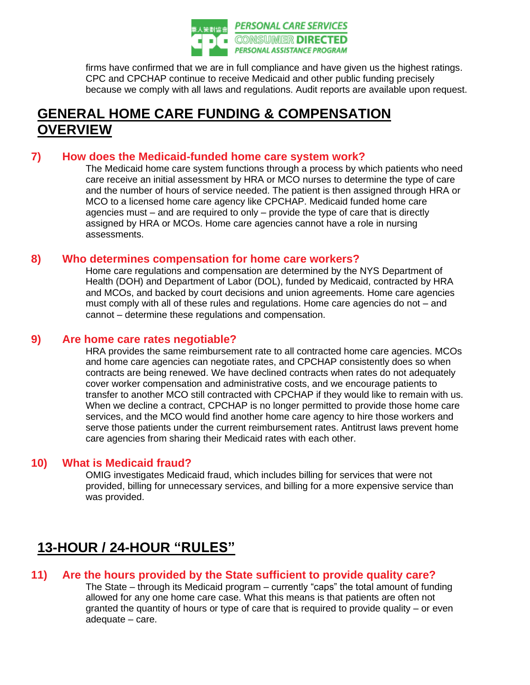

firms have confirmed that we are in full compliance and have given us the highest ratings. CPC and CPCHAP continue to receive Medicaid and other public funding precisely because we comply with all laws and regulations. Audit reports are available upon request.

## **GENERAL HOME CARE FUNDING & COMPENSATION OVERVIEW**

## **7) How does the Medicaid-funded home care system work?**

The Medicaid home care system functions through a process by which patients who need care receive an initial assessment by HRA or MCO nurses to determine the type of care and the number of hours of service needed. The patient is then assigned through HRA or MCO to a licensed home care agency like CPCHAP. Medicaid funded home care agencies must – and are required to only – provide the type of care that is directly assigned by HRA or MCOs. Home care agencies cannot have a role in nursing assessments.

#### **8) Who determines compensation for home care workers?**

Home care regulations and compensation are determined by the NYS Department of Health (DOH) and Department of Labor (DOL), funded by Medicaid, contracted by HRA and MCOs, and backed by court decisions and union agreements. Home care agencies must comply with all of these rules and regulations. Home care agencies do not – and cannot – determine these regulations and compensation.

#### **9) Are home care rates negotiable?**

HRA provides the same reimbursement rate to all contracted home care agencies. MCOs and home care agencies can negotiate rates, and CPCHAP consistently does so when contracts are being renewed. We have declined contracts when rates do not adequately cover worker compensation and administrative costs, and we encourage patients to transfer to another MCO still contracted with CPCHAP if they would like to remain with us. When we decline a contract, CPCHAP is no longer permitted to provide those home care services, and the MCO would find another home care agency to hire those workers and serve those patients under the current reimbursement rates. Antitrust laws prevent home care agencies from sharing their Medicaid rates with each other.

#### **10) What is Medicaid fraud?**

OMIG investigates Medicaid fraud, which includes billing for services that were not provided, billing for unnecessary services, and billing for a more expensive service than was provided.

# **13-HOUR / 24-HOUR "RULES"**

## **11) Are the hours provided by the State sufficient to provide quality care?**

The State – through its Medicaid program – currently "caps" the total amount of funding allowed for any one home care case. What this means is that patients are often not granted the quantity of hours or type of care that is required to provide quality – or even adequate – care.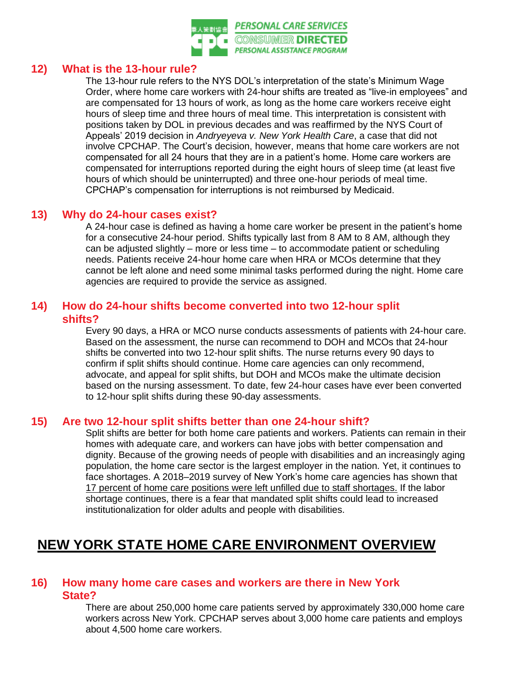

#### **12) What is the 13-hour rule?**

The 13-hour rule refers to the NYS DOL's interpretation of the state's Minimum Wage Order, where home care workers with 24-hour shifts are treated as "live-in employees" and are compensated for 13 hours of work, as long as the home care workers receive eight hours of sleep time and three hours of meal time. This interpretation is consistent with positions taken by DOL in previous decades and was reaffirmed by the NYS Court of Appeals' 2019 decision in *Andryeyeva v. New York Health Care*, a case that did not involve CPCHAP. The Court's decision, however, means that home care workers are not compensated for all 24 hours that they are in a patient's home. Home care workers are compensated for interruptions reported during the eight hours of sleep time (at least five hours of which should be uninterrupted) and three one-hour periods of meal time. CPCHAP's compensation for interruptions is not reimbursed by Medicaid.

#### **13) Why do 24-hour cases exist?**

A 24-hour case is defined as having a home care worker be present in the patient's home for a consecutive 24-hour period. Shifts typically last from 8 AM to 8 AM, although they can be adjusted slightly – more or less time – to accommodate patient or scheduling needs. Patients receive 24-hour home care when HRA or MCOs determine that they cannot be left alone and need some minimal tasks performed during the night. Home care agencies are required to provide the service as assigned.

#### **14) How do 24-hour shifts become converted into two 12-hour split shifts?**

Every 90 days, a HRA or MCO nurse conducts assessments of patients with 24-hour care. Based on the assessment, the nurse can recommend to DOH and MCOs that 24-hour shifts be converted into two 12-hour split shifts. The nurse returns every 90 days to confirm if split shifts should continue. Home care agencies can only recommend, advocate, and appeal for split shifts, but DOH and MCOs make the ultimate decision based on the nursing assessment. To date, few 24-hour cases have ever been converted to 12-hour split shifts during these 90-day assessments.

#### **15) Are two 12-hour split shifts better than one 24-hour shift?**

Split shifts are better for both home care patients and workers. Patients can remain in their homes with adequate care, and workers can have jobs with better compensation and dignity. Because of the growing needs of people with disabilities and an increasingly aging population, the home care sector is the largest employer in the nation. Yet, it continues to face shortages. A 2018–2019 survey of New York's home care agencies has shown that [17 percent of home care positions were left unfilled due to staff shortages.](https://academicworks.cuny.edu/cgi/viewcontent.cgi?article=1806&context=gc_pubs) If the labor shortage continues, there is a fear that mandated split shifts could lead to increased institutionalization for older adults and people with disabilities.

## **NEW YORK STATE HOME CARE ENVIRONMENT OVERVIEW**

#### **16) How many home care cases and workers are there in New York State?**

There are about 250,000 home care patients served by approximately 330,000 home care workers across New York. CPCHAP serves about 3,000 home care patients and employs about 4,500 home care workers.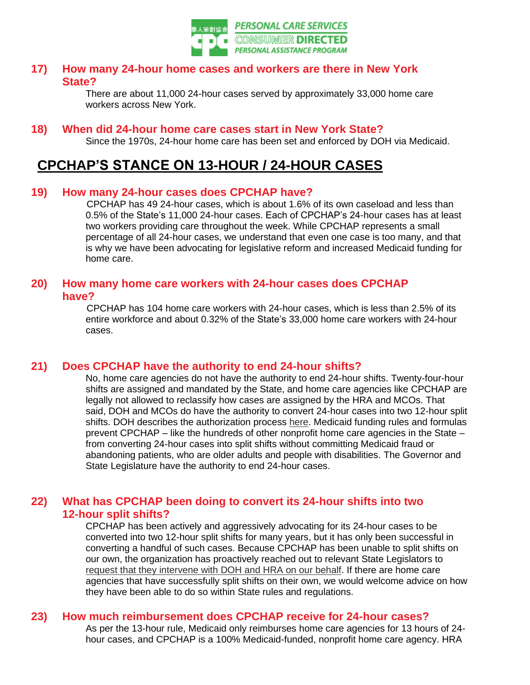

#### **17) How many 24-hour home cases and workers are there in New York State?**

There are about 11,000 24-hour cases served by approximately 33,000 home care workers across New York.

#### **18) When did 24-hour home care cases start in New York State?**

Since the 1970s, 24-hour home care has been set and enforced by DOH via Medicaid.

## **CPCHAP'S STANCE ON 13-HOUR / 24-HOUR CASES**

#### **19) How many 24-hour cases does CPCHAP have?**

CPCHAP has 49 24-hour cases, which is about 1.6% of its own caseload and less than 0.5% of the State's 11,000 24-hour cases. Each of CPCHAP's 24-hour cases has at least two workers providing care throughout the week. While CPCHAP represents a small percentage of all 24-hour cases, we understand that even one case is too many, and that is why we have been advocating for legislative reform and increased Medicaid funding for home care.

#### **20) How many home care workers with 24-hour cases does CPCHAP have?**

CPCHAP has 104 home care workers with 24-hour cases, which is less than 2.5% of its entire workforce and about 0.32% of the State's 33,000 home care workers with 24-hour cases.

#### **21) Does CPCHAP have the authority to end 24-hour shifts?**

No, home care agencies do not have the authority to end 24-hour shifts. Twenty-four-hour shifts are assigned and mandated by the State, and home care agencies like CPCHAP are legally not allowed to reclassify how cases are assigned by the HRA and MCOs. That said, DOH and MCOs do have the authority to convert 24-hour cases into two 12-hour split shifts. DOH describes the authorization process [here.](https://www.health.ny.gov/health_care/medicaid/publications/gis/12ma026.htm) Medicaid funding rules and formulas prevent CPCHAP – like the hundreds of other nonprofit home care agencies in the State – from converting 24-hour cases into split shifts without committing Medicaid fraud or abandoning patients, who are older adults and people with disabilities. The Governor and State Legislature have the authority to end 24-hour cases.

## **22) What has CPCHAP been doing to convert its 24-hour shifts into two 12-hour split shifts?**

CPCHAP has been actively and aggressively advocating for its 24-hour cases to be converted into two 12-hour split shifts for many years, but it has only been successful in converting a handful of such cases. Because CPCHAP has been unable to split shifts on our own, the organization has proactively reached out to relevant State Legislators to [request that they intervene with DOH and HRA on our behalf.](https://www.cpc-nyc.org/news/3650/cpc-calls-governor-and-legislative-leaders-reform-home-care?utm_medium=email&utm_campaign=CPC%20Statement%20on%20Assemblymember%20Ron%20Kim&utm_content=CPC%20Statement%20on%20Assemblymember%20Ron%20Kim+CID_2569f931873756595f4a2300c2bae1a3&utm_source=Email%20marketing%20software&utm_term=requested%20his%20help) If there are home care agencies that have successfully split shifts on their own, we would welcome advice on how they have been able to do so within State rules and regulations.

#### **23) How much reimbursement does CPCHAP receive for 24-hour cases?**

As per the 13-hour rule, Medicaid only reimburses home care agencies for 13 hours of 24 hour cases, and CPCHAP is a 100% Medicaid-funded, nonprofit home care agency. HRA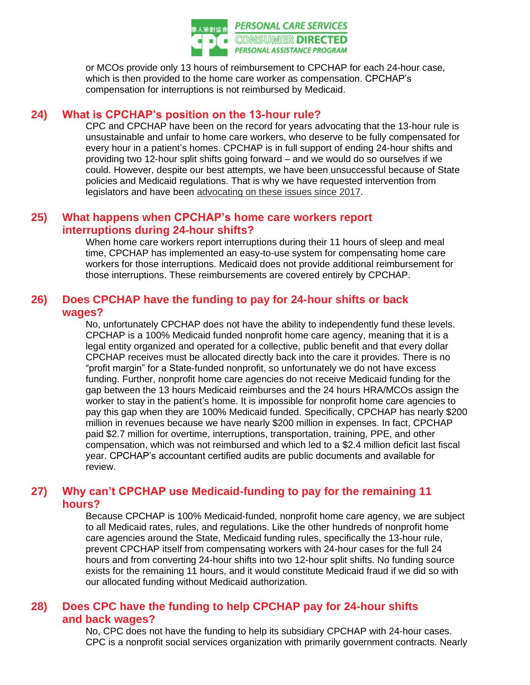

or MCOs provide only 13 hours of reimbursement to CPCHAP for each 24-hour case, which is then provided to the home care worker as compensation. CPCHAP's compensation for interruptions is not reimbursed by Medicaid.

#### **24) What is CPCHAP's position on the 13-hour rule?**

CPC and CPCHAP have been on the record for years advocating that the 13-hour rule is unsustainable and unfair to home care workers, who deserve to be fully compensated for every hour in a patient's homes. CPCHAP is in full support of ending 24-hour shifts and providing two 12-hour split shifts going forward – and we would do so ourselves if we could. However, despite our best attempts, we have been unsuccessful because of State policies and Medicaid regulations. That is why we have requested intervention from legislators and have been [advocating on these issues since 2017.](https://www.cpc-nyc.org/news/tags/homecarereform?utm_medium=email&utm_campaign=CPC%20Statement%20on%20Assemblymember%20Ron%20Kim&utm_content=CPC%20Statement%20on%20Assemblymember%20Ron%20Kim+CID_2569f931873756595f4a2300c2bae1a3&utm_source=Email%20marketing%20software&utm_term=advocating%20on%20these%20issues%20since%202017)

### **25) What happens when CPCHAP's home care workers report interruptions during 24-hour shifts?**

When home care workers report interruptions during their 11 hours of sleep and meal time, CPCHAP has implemented an easy-to-use system for compensating home care workers for those interruptions. Medicaid does not provide additional reimbursement for those interruptions. These reimbursements are covered entirely by CPCHAP.

## **26) Does CPCHAP have the funding to pay for 24-hour shifts or back wages?**

No, unfortunately CPCHAP does not have the ability to independently fund these levels. CPCHAP is a 100% Medicaid funded nonprofit home care agency, meaning that it is a legal entity organized and operated for a collective, public benefit and that every dollar CPCHAP receives must be allocated directly back into the care it provides. There is no "profit margin" for a State-funded nonprofit, so unfortunately we do not have excess funding. Further, nonprofit home care agencies do not receive Medicaid funding for the gap between the 13 hours Medicaid reimburses and the 24 hours HRA/MCOs assign the worker to stay in the patient's home. It is impossible for nonprofit home care agencies to pay this gap when they are 100% Medicaid funded. Specifically, CPCHAP has nearly \$200 million in revenues because we have nearly \$200 million in expenses. In fact, CPCHAP paid \$2.7 million for overtime, interruptions, transportation, training, PPE, and other compensation, which was not reimbursed and which led to a \$2.4 million deficit last fiscal year. CPCHAP's accountant certified audits are public documents and available for review.

## **27) Why can't CPCHAP use Medicaid-funding to pay for the remaining 11 hours?**

Because CPCHAP is 100% Medicaid-funded, nonprofit home care agency, we are subject to all Medicaid rates, rules, and regulations. Like the other hundreds of nonprofit home care agencies around the State, Medicaid funding rules, specifically the 13-hour rule, prevent CPCHAP itself from compensating workers with 24-hour cases for the full 24 hours and from converting 24-hour shifts into two 12-hour split shifts. No funding source exists for the remaining 11 hours, and it would constitute Medicaid fraud if we did so with our allocated funding without Medicaid authorization.

## **28) Does CPC have the funding to help CPCHAP pay for 24-hour shifts and back wages?**

No, CPC does not have the funding to help its subsidiary CPCHAP with 24-hour cases. CPC is a nonprofit social services organization with primarily government contracts. Nearly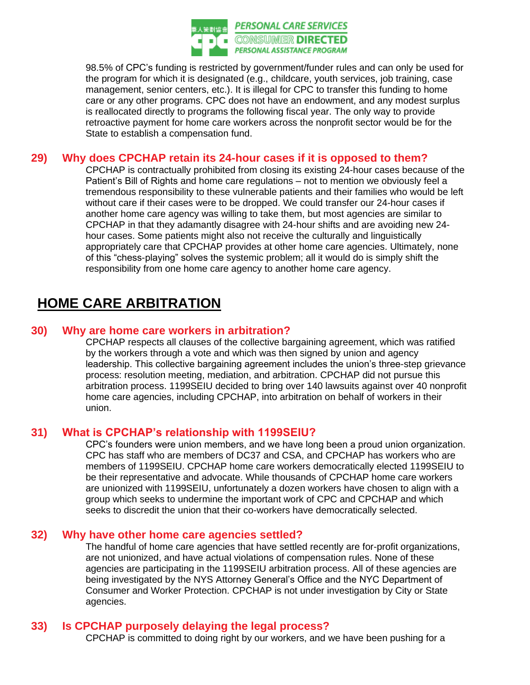

98.5% of CPC's funding is restricted by government/funder rules and can only be used for the program for which it is designated (e.g., childcare, youth services, job training, case management, senior centers, etc.). It is illegal for CPC to transfer this funding to home care or any other programs. CPC does not have an endowment, and any modest surplus is reallocated directly to programs the following fiscal year. The only way to provide retroactive payment for home care workers across the nonprofit sector would be for the State to establish a compensation fund.

#### **29) Why does CPCHAP retain its 24-hour cases if it is opposed to them?**

CPCHAP is contractually prohibited from closing its existing 24-hour cases because of the Patient's Bill of Rights and home care regulations – not to mention we obviously feel a tremendous responsibility to these vulnerable patients and their families who would be left without care if their cases were to be dropped. We could transfer our 24-hour cases if another home care agency was willing to take them, but most agencies are similar to CPCHAP in that they adamantly disagree with 24-hour shifts and are avoiding new 24 hour cases. Some patients might also not receive the culturally and linguistically appropriately care that CPCHAP provides at other home care agencies. Ultimately, none of this "chess-playing" solves the systemic problem; all it would do is simply shift the responsibility from one home care agency to another home care agency.

## **HOME CARE ARBITRATION**

#### **30) Why are home care workers in arbitration?**

CPCHAP respects all clauses of the collective bargaining agreement, which was ratified by the workers through a vote and which was then signed by union and agency leadership. This collective bargaining agreement includes the union's three-step grievance process: resolution meeting, mediation, and arbitration. CPCHAP did not pursue this arbitration process. 1199SEIU decided to bring over 140 lawsuits against over 40 nonprofit home care agencies, including CPCHAP, into arbitration on behalf of workers in their union.

#### **31) What is CPCHAP's relationship with 1199SEIU?**

CPC's founders were union members, and we have long been a proud union organization. CPC has staff who are members of DC37 and CSA, and CPCHAP has workers who are members of 1199SEIU. CPCHAP home care workers democratically elected 1199SEIU to be their representative and advocate. While thousands of CPCHAP home care workers are unionized with 1199SEIU, unfortunately a dozen workers have chosen to align with a group which seeks to undermine the important work of CPC and CPCHAP and which seeks to discredit the union that their co-workers have democratically selected.

#### **32) Why have other home care agencies settled?**

The handful of home care agencies that have settled recently are for-profit organizations, are not unionized, and have actual violations of compensation rules. None of these agencies are participating in the 1199SEIU arbitration process. All of these agencies are being investigated by the NYS Attorney General's Office and the NYC Department of Consumer and Worker Protection. CPCHAP is not under investigation by City or State agencies.

#### **33) Is CPCHAP purposely delaying the legal process?**

CPCHAP is committed to doing right by our workers, and we have been pushing for a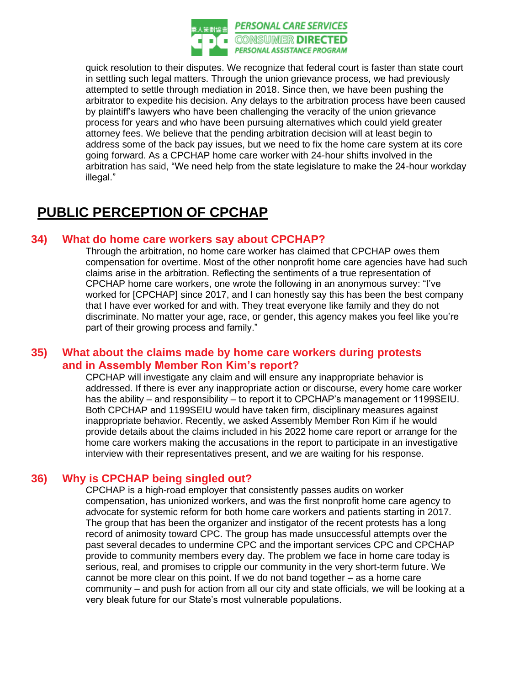

quick resolution to their disputes. We recognize that federal court is faster than state court in settling such legal matters. Through the union grievance process, we had previously attempted to settle through mediation in 2018. Since then, we have been pushing the arbitrator to expedite his decision. Any delays to the arbitration process have been caused by plaintiff's lawyers who have been challenging the veracity of the union grievance process for years and who have been pursuing alternatives which could yield greater attorney fees. We believe that the pending arbitration decision will at least begin to address some of the back pay issues, but we need to fix the home care system at its core going forward. As a CPCHAP home care worker with 24-hour shifts involved in the arbitration [has said,](https://gothamist.com/news/nys-highest-court-its-legal-to-pay-home-health-aide-workers-for-13-hours-of-a-24-hour-shift.) "We need help from the state legislature to make the 24-hour workday illegal."

# **PUBLIC PERCEPTION OF CPCHAP**

### **34) What do home care workers say about CPCHAP?**

Through the arbitration, no home care worker has claimed that CPCHAP owes them compensation for overtime. Most of the other nonprofit home care agencies have had such claims arise in the arbitration. Reflecting the sentiments of a true representation of CPCHAP home care workers, one wrote the following in an anonymous survey: "I've worked for [CPCHAP] since 2017, and I can honestly say this has been the best company that I have ever worked for and with. They treat everyone like family and they do not discriminate. No matter your age, race, or gender, this agency makes you feel like you're part of their growing process and family."

## **35) What about the claims made by home care workers during protests and in Assembly Member Ron Kim's report?**

CPCHAP will investigate any claim and will ensure any inappropriate behavior is addressed. If there is ever any inappropriate action or discourse, every home care worker has the ability – and responsibility – to report it to CPCHAP's management or 1199SEIU. Both CPCHAP and 1199SEIU would have taken firm, disciplinary measures against inappropriate behavior. Recently, we asked Assembly Member Ron Kim if he would provide details about the claims included in his 2022 home care report or arrange for the home care workers making the accusations in the report to participate in an investigative interview with their representatives present, and we are waiting for his response.

## **36) Why is CPCHAP being singled out?**

CPCHAP is a high-road employer that consistently passes audits on worker compensation, has unionized workers, and was the first nonprofit home care agency to advocate for systemic reform for both home care workers and patients starting in 2017. The group that has been the organizer and instigator of the recent protests has a long record of animosity toward CPC. The group has made unsuccessful attempts over the past several decades to undermine CPC and the important services CPC and CPCHAP provide to community members every day. The problem we face in home care today is serious, real, and promises to cripple our community in the very short-term future. We cannot be more clear on this point. If we do not band together – as a home care community – and push for action from all our city and state officials, we will be looking at a very bleak future for our State's most vulnerable populations.